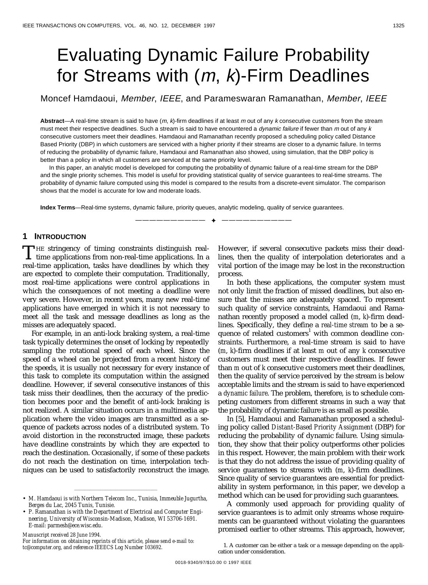# Evaluating Dynamic Failure Probability for Streams with  $(m, k)$ -Firm Deadlines

Moncef Hamdaoui, Member, IEEE, and Parameswaran Ramanathan, Member, IEEE

**Abstract**—A real-time stream is said to have (m, k)-firm deadlines if at least m out of any k consecutive customers from the stream must meet their respective deadlines. Such a stream is said to have encountered a *dynamic failure* if fewer than  $m$  out of any  $k$ consecutive customers meet their deadlines. Hamdaoui and Ramanathan recently proposed a scheduling policy called Distance Based Priority (DBP) in which customers are serviced with a higher priority if their streams are closer to a dynamic failure. In terms of reducing the probability of dynamic failure, Hamdaoui and Ramanathan also showed, using simulation, that the DBP policy is better than a policy in which all customers are serviced at the same priority level.

In this paper, an analytic model is developed for computing the probability of dynamic failure of a real-time stream for the DBP and the single priority schemes. This model is useful for providing statistical quality of service guarantees to real-time streams. The probability of dynamic failure computed using this model is compared to the results from a discrete-event simulator. The comparison shows that the model is accurate for low and moderate loads.

—————————— ✦ ——————————

**Index Terms**—Real-time systems, dynamic failure, priority queues, analytic modeling, quality of service guarantees.

# **1 INTRODUCTION**

HE stringency of timing constraints distinguish real-THE stringency of timing constraints distinguish real-<br>time applications from non-real-time applications. In a real-time application, tasks have deadlines by which they are expected to complete their computation. Traditionally, most real-time applications were control applications in which the consequences of not meeting a deadline were very severe. However, in recent years, many new real-time applications have emerged in which it is not necessary to meet all the task and message deadlines as long as the misses are adequately spaced.

For example, in an anti-lock braking system, a real-time task typically determines the onset of locking by repeatedly sampling the rotational speed of each wheel. Since the speed of a wheel can be projected from a recent history of the speeds, it is usually not necessary for every instance of this task to complete its computation within the assigned deadline. However, if several consecutive instances of this task miss their deadlines, then the accuracy of the prediction becomes poor and the benefit of anti-lock braking is not realized. A similar situation occurs in a multimedia application where the video images are transmitted as a sequence of packets across nodes of a distributed system. To avoid distortion in the reconstructed image, these packets have deadline constraints by which they are expected to reach the destination. Occasionally, if some of these packets do not reach the destination on time, interpolation techniques can be used to satisfactorily reconstruct the image.

*Manuscript received 28 June 1994.*

*For information on obtaining reprints of this article, please send e-mail to: tc@computer.org, and reference IEEECS Log Number 103692.*

However, if several consecutive packets miss their deadlines, then the quality of interpolation deteriorates and a vital portion of the image may be lost in the reconstruction process.

In both these applications, the computer system must not only limit the fraction of missed deadlines, but also ensure that the misses are adequately spaced. To represent such quality of service constraints, Hamdaoui and Ramanathan recently proposed a model called (*m*, *k*)-firm deadlines. Specifically, they define a *real-time stream* to be a sequence of related customers<sup>1</sup> with common deadline constraints. Furthermore, a real-time stream is said to have (*m*, *k*)-firm deadlines if at least *m* out of any *k* consecutive customers must meet their respective deadlines. If fewer than *m* out of *k* consecutive customers meet their deadlines, then the quality of service perceived by the stream is below acceptable limits and the stream is said to have experienced a *dynamic failure*. The problem, therefore, is to schedule competing customers from different streams in such a way that the probability of dynamic failure is as small as possible.

In [5], Hamdaoui and Ramanathan proposed a scheduling policy called *Distant-Based Priority Assignment* (DBP) for reducing the probability of dynamic failure. Using simulation, they show that their policy outperforms other policies in this respect. However, the main problem with their work is that they do not address the issue of providing quality of service guarantees to streams with (*m*, *k*)-firm deadlines. Since quality of service guarantees are essential for predictability in system performance, in this paper, we develop a method which can be used for providing such guarantees.

A commonly used approach for providing quality of service guarantees is to admit only streams whose requirements can be guaranteed without violating the guarantees promised earlier to other streams. This approach, however,

<sup>¥¥¥¥¥¥¥¥¥¥¥¥¥¥¥¥¥¥¥</sup> • *M. Hamdaoui is with Northern Telecom Inc., Tunisia, Immeuble Jugurtha, Berges du Lac, 2045 Tunis, Tunisie.*

<sup>•</sup> *P. Ramanathan is with the Department of Electrical and Computer Engineering, University of Wisconsin-Madison, Madison, WI 53706-1691. E-mail: parmesh@ece.wisc.edu.*

<sup>1.</sup> A customer can be either a task or a message depending on the application under consideration.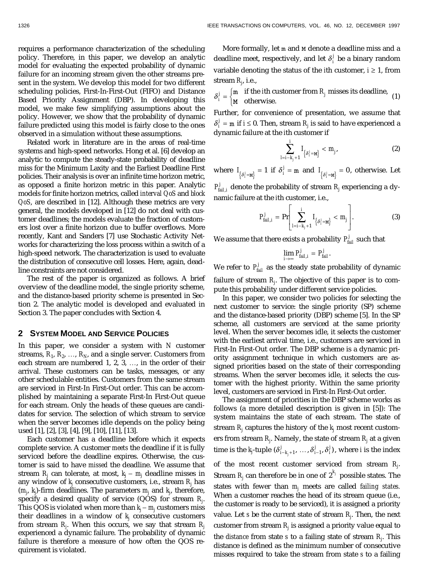requires a performance characterization of the scheduling policy. Therefore, in this paper, we develop an analytic model for evaluating the expected probability of dynamic failure for an incoming stream given the other streams present in the system. We develop this model for two different scheduling policies, First-In-First-Out (FIFO) and Distance Based Priority Assignment (DBP). In developing this model, we make few simplifying assumptions about the policy. However, we show that the probability of dynamic failure predicted using this model is fairly close to the ones observed in a simulation without these assumptions.

Related work in literature are in the areas of real-time systems and high-speed networks. Hong et al. [6] develop an analytic to compute the steady-state probability of deadline miss for the Minimum Laxity and the Earliest Deadline First policies. Their analysis is over an infinite time horizon metric, as opposed a finite horizon metric in this paper. Analytic models for finite horizon metrics, called *interval QoS* and *block QoS*, are described in [12]. Although these metrics are very general, the models developed in [12] do not deal with customer deadlines; the models evaluate the fraction of customers lost over a finite horizon due to buffer overflows. More recently, Kant and Sanders [7] use Stochastic Activity Networks for characterizing the loss process within a switch of a high-speed network. The characterization is used to evaluate the distribution of consecutive cell losses. Here, again, deadline constraints are not considered.

The rest of the paper is organized as follows. A brief overview of the deadline model, the single priority scheme, and the distance-based priority scheme is presented in Section 2. The analytic model is developed and evaluated in Section 3. The paper concludes with Section 4.

## **2 SYSTEM MODEL AND SERVICE POLICIES**

In this paper, we consider a system with *N* customer streams,  $R_1, R_2, ..., R_N$ , and a single server. Customers from each stream are numbered 1, 2, 3,  $\dots$ , in the order of their arrival. These customers can be tasks, messages, or any other schedulable entities. Customers from the same stream are serviced in First-In First-Out order. This can be accomplished by maintaining a separate First-In First-Out queue for each stream. Only the heads of these queues are candidates for service. The selection of which stream to service when the server becomes idle depends on the policy being used [1], [2], [3], [4], [9], [10], [11], [13].

Each customer has a deadline before which it expects complete service. A customer *meets* the deadline if it is fully serviced before the deadline expires. Otherwise, the customer is said to have *missed* the deadline. We assume that stream *Rj* can tolerate, at most, *kj* - *mj* deadline misses in any window of  $k_j$  consecutive customers, i.e., stream  $R_j$  has (*mj* , *kj* )-firm deadlines. The parameters *mj* and *kj* , therefore, specify a desired quality of service (QOS) for stream *Rj* . This QOS is violated when more than  $k_j$ –  $m_j$  customers miss their deadlines in a window of *kj* consecutive customers from stream *Rj* . When this occurs, we say that stream *Rj* experienced a dynamic failure. The probability of dynamic failure is therefore a measure of how often the QOS requirement is violated.

More formally, let m and M denote a deadline miss and a deadline meet, respectively, and let  $\delta_i^j$  be a binary random variable denoting the status of the *i*th customer,  $i \ge 1$ , from stream *Rj* , i.e.,

 $\delta_i^j = \begin{cases} \text{m} & \text{if the } i\text{th customer from } R_j \\ \text{M} & \text{otherwise.} \end{cases}$ m M if the *i*th customer from  $R_j$  misses its deadline, (1) otherwise.

Further, for convenience of presentation, we assume that  $\delta_i^j = m$  if *i*  $\leq 0$ . Then, stream  $R_j$  is said to have experienced a dynamic failure at the *i*th customer if

$$
\sum_{l=i-k_j+1}^i I_{\left\{\delta_j^j=\text{M}\right\}} < m_j,\tag{2}
$$

where  $I_{\{\delta_j^j = \mathbf{M}\}} = 1$  if  $\delta_j^j = \mathbf{m}$  and  $I_{\{\delta_j^j = \mathbf{M}\}} = 0$ , otherwise. Let

 $P_{\textit{fail},i}^{j}$  denote the probability of stream  $R_{j}$  experiencing a dynamic failure at the *i*th customer, i.e.,

$$
P_{fail,i}^j = \Pr\Bigg[\sum_{l=i-k_j+1}^i I_{\{\delta_j^j = \mathbf{M}\}} < m_j\Bigg].\tag{3}
$$

We assume that there exists a probability  $P_{\text{fail}}^{j}$  such that

$$
\lim_{i\to\infty}P^j_{fail,i}=P^j_{fail}.
$$

We refer to  $P_{\text{fail}}^j$  as the steady state probability of dynamic failure of stream *Rj* . The objective of this paper is to compute this probability under different service policies.

In this paper, we consider two policies for selecting the next customer to service: the single priority (SP) scheme and the distance-based priority (DBP) scheme [5]. In the SP scheme, all customers are serviced at the same priority level. When the server becomes idle, it selects the customer with the earliest arrival time, i.e., customers are serviced in First-In First-Out order. The DBP scheme is a dynamic priority assignment technique in which customers are assigned priorities based on the state of their corresponding streams. When the server becomes idle, it selects the customer with the highest priority. Within the same priority level, customers are serviced in First-In First-Out order.

The assignment of priorities in the DBP scheme works as follows (a more detailed description is given in [5]): The system maintains the state of each stream. The state of stream  $R_j$  captures the history of the  $k_j$  most recent customers from stream *Rj* . Namely, the state of stream *Rj* at a given time is the  $k_j$ -tuple  $(\delta^j_{i-k_j+1},\, ..., \delta^j_{i-1}, \delta^j_i)$  , where  $i$  is the index of the most recent customer serviced from stream *Rj* .

Stream  $R_j$  can therefore be in one of  $2^{k_j}$  possible states. The states with fewer than *mj* meets are called *failing states.* When a customer reaches the head of its stream queue (i.e., the customer is ready to be serviced), it is assigned a priority value. Let *s* be the current state of stream *Rj* . Then, the next customer from stream  $R_j$  is assigned a priority value equal to the *distance* from state *s* to a failing state of stream *Rj* . This distance is defined as the minimum number of consecutive misses required to take the stream from state *s* to a failing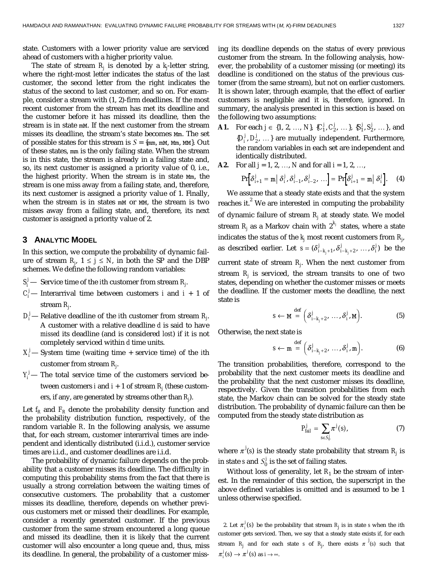state. Customers with a lower priority value are serviced ahead of customers with a higher priority value.

The state of stream  $R_j$  is denoted by a  $k_j$ -letter string, where the right-most letter indicates the status of the last customer, the second letter from the right indicates the status of the second to last customer, and so on. For example, consider a stream with (1, 2)-firm deadlines. If the most recent customer from the stream has met its deadline and the customer before it has missed its deadline, then the stream is in state mM. If the next customer from the stream misses its deadline, the stream's state becomes Mm. The set of possible states for this stream is  $S = \{mm, mM, Mm, MM\}$ . Out of these states, mm is the only failing state. When the stream is in this state, the stream is already in a failing state and, so, its next customer is assigned a priority value of 0, i.e., the highest priority. When the stream is in state Mm, the stream is one miss away from a failing state, and, therefore, its next customer is assigned a priority value of 1. Finally, when the stream is in states  $m$  or  $mn$ , the stream is two misses away from a failing state, and, therefore, its next customer is assigned a priority value of 2.

#### **3 ANALYTIC MODEL**

In this section, we compute the probability of dynamic failure of stream  $R_j$ ,  $1 \leq j \leq N$ , in both the SP and the DBP schemes. We define the following random variables:

- $S_i^j$  Service time of the *i*th customer from stream  $R_j$ .
- $C_i^j$  Interarrival time between customers *i* and *i* + 1 of stream *Rj* .
- $D_i^j$  Relative deadline of the *i*th customer from stream  $R_j$ . A customer with a relative deadline *d* is said to have *missed* its deadline (and is considered *lost*) if it is not completely serviced within *d* time units.
- $X_i^j$  System time (waiting time + service time) of the *i*th customer from stream *Rj* .
- $Y_i^j$  The total service time of the customers serviced between customers  $i$  and  $i+1$  of stream  $R_j$  (these customers, if any, are generated by streams other than  $R_j$ ).

Let  $f_R$  and  $F_R$  denote the probability density function and the probability distribution function, respectively, of the random variable *R*. In the following analysis, we assume that, for each stream, customer interarrival times are independent and identically distributed (i.i.d.), customer service times are i.i.d., and customer deadlines are i.i.d.

The probability of dynamic failure depends on the probability that a customer misses its deadline. The difficulty in computing this probability stems from the fact that there is usually a strong correlation between the waiting times of consecutive customers. The probability that a customer misses its deadline, therefore, depends on whether previous customers met or missed their deadlines. For example, consider a recently generated customer. If the previous customer from the same stream encountered a long queue and missed its deadline, then it is likely that the current customer will also encounter a long queue and, thus, miss its deadline. In general, the probability of a customer missing its deadline depends on the status of every previous customer from the stream. In the following analysis, however, the probability of a customer missing (or meeting) its deadline is conditioned on the status of the previous customer (from the same stream), but not on earlier customers. It is shown later, through example, that the effect of earlier customers is negligible and it is, therefore, ignored. In summary, the analysis presented in this section is based on the following two assumptions:

- **A1.** For each  $j \in \{1, 2, ..., N\}$ ,  $\{C_1^j, C_2^j, ..., \}$ ,  $\{S_1^j, S_2^j, ..., \}$ , and  $\{D_i^j, D_2^j, \ldots\}$  are mutually independent. Furthermore, the random variables in each set are independent and identically distributed.
- **A2.** For all  $j = 1, 2, ..., N$  and for all  $i = 1, 2, ...,$

$$
\Pr\bigg[\delta_{i+1}^j = \mathfrak{m} \big| \delta_i^j, \delta_{i-1}^j, \delta_{i-2}^j, \ldots\bigg] = \Pr\bigg[\delta_{i+1}^j = \mathfrak{m} \big| \delta_i^j\bigg]. \tag{4}
$$

We assume that a steady state exists and that the system reaches it. $^{2}$  We are interested in computing the probability of dynamic failure of stream  $R_j$  at steady state. We model stream  $R_j$  as a Markov chain with  $2^{k_j}$  states, where a state indicates the status of the  $k_j$  most recent customers from  $R_{j\cdot}$ as described earlier. Let  $s = (\delta_{i-k_i+1}^j, \delta_{i-k_i+2}^j, ..., \delta_i^j)$  $=(\delta^j_{i-k_j+1}, \delta^j_{i-k_j+2}, \ldots, \delta^j_i)$  be the current state of stream *Rj* . When the next customer from stream *Rj* is serviced, the stream transits to one of two states, depending on whether the customer misses or meets the deadline. If the customer meets the deadline, the next state is

$$
s \leftarrow \mathbf{M} \stackrel{\text{def}}{=} \left( \delta_{i-k_j+2}^j, \dots, \delta_i^j, \mathbf{M} \right). \tag{5}
$$

Otherwise, the next state is

$$
s \leftarrow \mathfrak{m} \stackrel{\text{def}}{=} \left( \delta^j_{i-k_j+2}, \dots, \delta^j_i, \mathfrak{m} \right). \tag{6}
$$

The transition probabilities, therefore, correspond to the probability that the next customer meets its deadline and the probability that the next customer misses its deadline, respectively. Given the transition probabilities from each state, the Markov chain can be solved for the steady state distribution. The probability of dynamic failure can then be computed from the steady state distribution as

$$
P_{fail}^j = \sum_{s \in S_0^j} \pi^j(s), \tag{7}
$$

where  $\pi^{j}(s)$  is the steady state probability that stream  $R_{j}$  is in state *s* and  $S_0^j$  is the set of failing states.

Without loss of generality, let  $R_1$  be the stream of interest. In the remainder of this section, the superscript in the above defined variables is omitted and is assumed to be 1 unless otherwise specified.

2. Let  $\pi_i^j(s)$  be the probability that stream  $R_j$  is in state *s* when the *i*th customer gets serviced. Then, we say that a steady state exists if, for each stream  $R_j$  and for each state  $s$  of  $R_j$ , there exists  $\pi^{j}(s)$  such that  $\pi_i^j(s) \to \pi^j(s)$  as  $i \to \infty$ .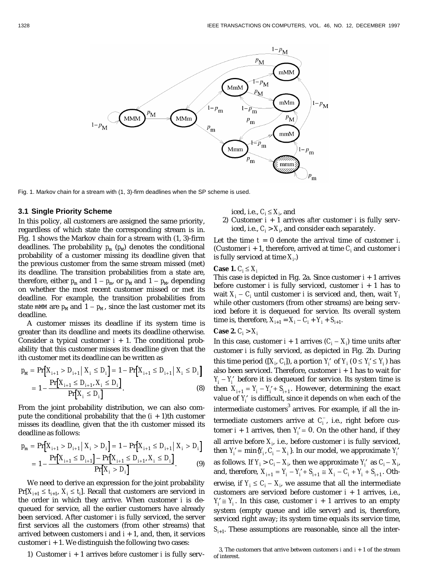

Fig. 1. Markov chain for a stream with (1, 3)-firm deadlines when the SP scheme is used.

#### **3.1 Single Priority Scheme**

In this policy, all customers are assigned the same priority, regardless of which state the corresponding stream is in. Fig. 1 shows the Markov chain for a stream with (1, 3)-firm deadlines. The probability  $p_m$  ( $p_M$ ) denotes the conditional probability of a customer missing its deadline given that the previous customer from the same stream missed (met) its deadline. The transition probabilities from a state are, therefore, either  $p_m$  and  $1 - p_m$ , or  $p_M$  and  $1 - p_M$ , depending on whether the most recent customer missed or met its deadline. For example, the transition probabilities from state mMM are  $p_M$  and  $1 - p_M$ , since the last customer met its deadline.

A customer misses its deadline if its system time is greater than its deadline and meets its deadline otherwise. Consider a typical customer  $i + 1$ . The conditional probability that this customer misses its deadline given that the *i*th customer met its deadline can be written as

$$
p_{\text{M}} = \Pr[X_{i+1} > D_{i+1} \mid X_i \le D_i] = 1 - \Pr[X_{i+1} \le D_{i+1} \mid X_i \le D_i]
$$
\n
$$
= 1 - \frac{\Pr[X_{i+1} \le D_{i+1}, X_i \le D_i]}{\Pr[X_i \le D_i]}.
$$
\n
$$
(8)
$$

From the joint probability distribution, we can also compute the conditional probability that the  $(i + 1)$ <sup>th</sup> customer misses its deadline, given that the *i*th customer missed its deadline as follows:

$$
p_{\text{m}} = \Pr[X_{i+1} > D_{i+1} \mid X_i > D_i] = 1 - \Pr[X_{i+1} \le D_{i+1} \mid X_i > D_i]
$$
\n
$$
= 1 - \frac{\Pr[X_{i+1} \le D_{i+1}] - \Pr[X_{i+1} \le D_{i+1}, X_i \le D_i]}{\Pr[X_i > D_i]}.
$$
\n
$$
(9)
$$

We need to derive an expression for the joint probability  $Pr[X_{i+1} \leq t_{i+1}, X_i \leq t_i]$ . Recall that customers are serviced in the order in which they arrive. When customer *i* is dequeued for service, all the earlier customers have already been serviced. After customer *i* is fully serviced, the server first services all the customers (from other streams) that arrived between customers  $i$  and  $i + 1$ , and, then, it services customer  $i + 1$ . We distinguish the following two cases:

1) Customer *i* + 1 arrives *before* customer *i* is fully serv-

iced, i.e.,  $C_i \leq X_i$ , and

2) Customer *i* + 1 arrives *after* customer *i* is fully serviced, i.e.,  $C_i > X_i$ , and consider each separately.

Let the time *t* = 0 denote the arrival time of customer *i*. (Customer  $i + 1$ , therefore, arrived at time  $C_i$  and customer  $i$ is fully serviced at time  $X_{i\cdot}$ )

#### **Case 1.**  $C_i \leq X_i$

This case is depicted in Fig. 2a. Since customer  $i + 1$  arrives before customer *i* is fully serviced, customer  $i + 1$  has to wait  $X_i$  –  $C_i$  until customer *i* is serviced and, then, wait  $Y_i$ while other customers (from other streams) are being serviced before it is dequeued for service. Its overall system time is, therefore,  $X_{i+1} = X_i - C_i + Y_i + S_{i+1}$ .

# **Case 2.** *Ci* > *Xi*

In this case, customer  $i + 1$  arrives  $(C_i - X_j)$  time units after customer *i* is fully serviced, as depicted in Fig. 2b. During this time period ([ $X_i$ ,  $C_i$ ]), a portion  $Y'_i$  of  $Y_i$  ( $0 \le Y'_i \le Y_i$ ) has also been serviced. Therefore, customer  $i + 1$  has to wait for  $Y_i - Y'_i$  before it is dequeued for service. Its system time is then  $X_{i+1} = Y_i - Y'_i + S_{i+1}$ . However, determining the exact value of *Y*¢ *<sup>i</sup>* is difficult, since it depends on *when* each of the intermediate customers $^3$  arrives. For example, if all the intermediate customers arrive at  $C_i^-$ , i.e., right before customer  $i + 1$  arrives, then  $Y'_i = 0$ . On the other hand, if they all arrive before  $X_{i}$ , i.e., before customer  $i$  is fully serviced, then  $Y'_i = \min\{Y_i, C_i - X_i\}$ . In our model, we approximate  $Y'_i$ as follows. If  $Y_i > C_i - X_i$ , then we approximate  $Y_i'$  as  $C_i - X_i$ and, therefore,  $X_{i+1} = Y_i - Y_i' + S_{i+1} \cong X_i - C_i + Y_i + S_{i+1}$ . Otherwise, if  $Y_i \leq C_i - X_i$ , we assume that all the intermediate customers are serviced before customer *i* + 1 arrives, i.e.,  $Y_i \cong Y_i$ . In this case, customer  $i + 1$  arrives to an empty system (empty queue and idle server) and is, therefore, serviced right away; its system time equals its service time,  $S_{i+1}$ . These assumptions are reasonable, since all the inter-

<sup>3,</sup> The customers that arrive between customers  $i$  and  $i + 1$  of the stream of interest.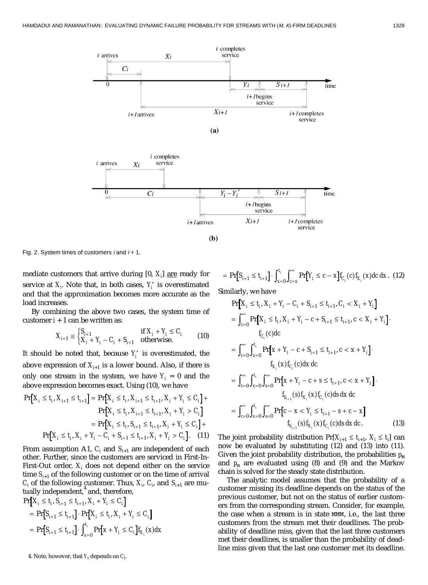

Fig. 2. System times of customers  $i$  and  $i + 1$ .

mediate customers that arrive during [0, *Xi* ] are ready for service at  $X_i$ . Note that, in both cases,  $Y'_i$  is overestimated and that the approximation becomes more accurate as the load increases.

By combining the above two cases, the system time of customer  $i + 1$  can be written as:

$$
X_{i+1} \cong \begin{cases} S_{i+1} & \text{if } X_i + Y_i \le C_i \\ X_i + Y_i - C_i + S_{i+1} & \text{otherwise.} \end{cases}
$$
 (10)

It should be noted that, because *Y*¢ *<sup>i</sup>* is overestimated, the above expression of  $X_{i+1}$  is a lower bound. Also, if there is only one stream in the system, we have  $Y_i = 0$  and the above expression becomes exact. Using (10), we have

$$
\Pr[X_i \le t_i, X_{i+1} \le t_{i+1}] = \Pr[X_i \le t_i, X_{i+1} \le t_{i+1}, X_i + Y_i \le C_i] + \Pr[X_i \le t_i, X_{i+1} \le t_{i+1}, X_i + Y_i > C_i]
$$

$$
= \Pr[X_i \le t_i, S_{i+1} \le t_{i+1}, X_i + Y_i \le C_i] + \Pr[X_i \le t_i, X_i + Y_i - C_i + S_{i+1} \le t_{i+1}, X_i + Y_i > C_i]. \tag{11}
$$

From assumption A1,  $C_i$  and  $S_{i+1}$  are independent of each other. Further, since the customers are serviced in First-In-First-Out order,  $X_{\!i}$  does not depend either on the service time  $S_{i+1}$  of the following customer or on the time of arrival  $C_i$  of the following customer. Thus,  $X_i$ ,  $C_i$ , and  $S_{i+1}$  are mutually independent, $4$  and, therefore,

$$
\Pr[X_i \le t_i, S_{i+1} \le t_{i+1}, X_i + Y_i \le C_i]
$$
\n
$$
= \Pr[S_{i+1} \le t_{i+1}] \cdot \Pr[X_i \le t_i, X_i + Y_i \le C_i]
$$
\n
$$
= \Pr[S_{i+1} \le t_{i+1}] \cdot \int_{x=0}^{t_i} \Pr[x + Y_i \le C_i] f_{X_i}(x) dx
$$

 $= Pr[S_{i+1} \le t_{i+1}] \cdot \int_{x=0}^{t_i} \int_{c=x}^{\infty} Pr[Y_i \le c-1]$  $Pr[S_{i+1} \le t_{i+1}] \cdot \int_{x=0}^{t_i} \int_{c=x}^{\infty} Pr[Y_i \le c - x] f_{C_i}(c) f_{X_i}(x) dc dx$ *t i i*  $t_{i+1}$ ]  $\cdot \int_{x=0}^{t_i} \int_{c=x}^{\infty} Pr[Y_i \le c - x] f_{C_i}(c) f_{X_i}(x) dc dx.$  (12)

Similarly, we have

$$
\Pr[X_i \le t_i, X_i + Y_i - C_i + S_{i+1} \le t_{i+1}, C_i < X_i + Y_i]
$$
\n
$$
= \int_{c=0}^{\infty} \Pr[X_i \le t_i, X_i + Y_i - c + S_{i+1} \le t_{i+1}, c < X_i + Y_i].
$$
\n
$$
f_{C_i}(c)dc
$$
\n
$$
= \int_{c=0}^{\infty} \int_{x=0}^{t_i} \Pr[x + Y_i - c + S_{i+1} \le t_{i+1}, c < x + Y_i].
$$
\n
$$
f_{X_i}(x) f_{C_i}(c)dx dc
$$
\n
$$
= \int_{c=0}^{\infty} \int_{x=0}^{t_i} \int_{y=0}^{\infty} \Pr[x + Y_i - c + s \le t_{i+1}, c < x + Y_i].
$$
\n
$$
f_{S_{i+1}}(s) f_{X_i}(x) f_{C_i}(c) ds dx dc
$$
\n
$$
= \int_{c=0}^{\infty} \int_{x=0}^{t_i} \int_{y=0}^{\infty} \Pr[c - x < Y_i \le t_{i+1} - s + c - x]
$$
\n
$$
f_{S_{i+1}}(s) f_{X_i}(x) f_{C_i}(c) ds dx dc.
$$
\n(13)

The joint probability distribution  $Pr[X_{i+1} \leq t_{i+1}, X_i \leq t_i]$  can now be evaluated by substituting (12) and (13) into (11). Given the joint probability distribution, the probabilities  $p_M$ and  $p_m$  are evaluated using (8) and (9) and the Markov chain is solved for the steady state distribution.

The analytic model assumes that the probability of a customer missing its deadline depends on the status of the previous customer, but not on the status of earlier customers from the corresponding stream. Consider, for example, the case when a stream is in state MMM, i.e., the last three customers from the stream met their deadlines. The probability of deadline miss, given that the last three customers met their deadlines, is smaller than the probability of deadline miss given that the last one customer met its deadline.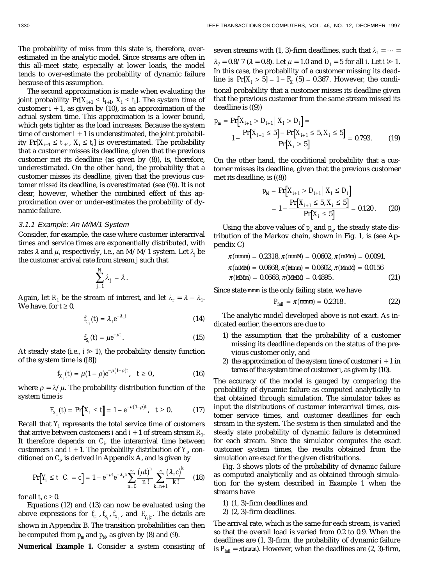The probability of miss from this state is, therefore, overestimated in the analytic model. Since streams are often in this all-meet state, especially at lower loads, the model tends to over-estimate the probability of dynamic failure because of this assumption.

The second approximation is made when evaluating the joint probability  $Pr[X_{i+1} \leq t_{i+1}, X_i \leq t_i]$ . The system time of customer  $i + 1$ , as given by (10), is an approximation of the actual system time. This approximation is a lower bound, which gets tighter as the load increases. Because the system time of customer  $i + 1$  is underestimated, the joint probability  $Pr[X_{i+1} \leq t_{i+1}, X_i \leq t_i]$  is overestimated. The probability that a customer misses its deadline, given that the previous customer *met* its deadline (as given by (8)), is, therefore, underestimated. On the other hand, the probability that a customer misses its deadline, given that the previous customer *missed* its deadline, is overestimated (see (9)). It is not clear, however, whether the combined effect of this approximation over or under-estimates the probability of dynamic failure.

#### 3.1.1 Example: An M/M/1 System

Consider, for example, the case where customer interarrival times and service times are exponentially distributed, with rates *l* and *m*, respectively, i.e., an M/M/1 system. Let *l<sup>j</sup>* be the customer arrival rate from stream *j* such that

$$
\sum_{j=1}^N \lambda_j = \lambda.
$$

Again, let  $R_1$  be the stream of interest, and let  $\lambda_r = \lambda - \lambda_1$ . We have, for  $t \geq 0$ ,

$$
f_{C_i}(t) = \lambda_1 e^{-\lambda_1 t} \tag{14}
$$

$$
f_{S_i}(t) = \mu e^{-\mu t}.
$$
 (15)

At steady state (i.e.,  $i \ge 1$ ), the probability density function of the system time is ([8])

$$
f_{X_i}(t) = \mu(1-\rho)e^{-\mu(1-\rho)t}, \quad t \ge 0,
$$
\n(16)

where  $\rho = \lambda / \mu$ . The probability distribution function of the system time is

$$
F_{X_i}(t) = \Pr[X_i \le t] = 1 - e^{-\mu(1-\rho)t}, \quad t \ge 0. \tag{17}
$$

Recall that  $Y_i$  represents the total service time of customers  $\mathcal{X}_i$ that arrive between customers *i* and  $i + 1$  of stream stream  $R_1$ . It therefore depends on  $C_p$  the interarrival time between customers *i* and  $i + 1$ . The probability distribution of  $Y_i$ , conditioned on *Ci* , is derived in Appendix A, and is given by

$$
\Pr[Y_i \le t \mid C_i = c] = 1 - e^{-\mu t} e^{-\lambda_r c} \sum_{n=0}^{\infty} \frac{(\mu t)^n}{n!} \sum_{k=n+1}^{\infty} \frac{(\lambda_r c)^k}{k!}
$$
 (18)

for all *t*,  $c \geq 0$ .

Equations (12) and (13) can now be evaluated using the above expressions for  $\emph{f}_{\emph{C}_{i}},\emph{f}_{\emph{S}_{i}},\emph{f}_{\emph{X}_{i}},$  and  $\emph{F}_{\emph{Y}_{i}|c}.$  The details are shown in Appendix B. The transition probabilities can then be computed from  $p_m$  and  $p_M$ , as given by (8) and (9).

**Numerical Example 1.** Consider a system consisting of

seven streams with (1, 3)-firm deadlines, such that  $\lambda_1 = \cdots =$  $\lambda_7 = 0.8/7$  ( $\lambda = 0.8$ ). Let  $\mu = 1.0$  and  $D_i = 5$  for all *i*. Let  $i \ge 1$ . In this case, the probability of a customer missing its dead- $\text{line is } \Pr [ X_i > 5 ] = 1 - F_{X_i} (5) = 0.367. \text{ However, the condi-}$ tional probability that a customer misses its deadline given that the previous customer from the same stream missed its deadline is ((9))

$$
p_{\text{m}} = \Pr[X_{i+1} > D_{i+1} \mid X_i > D_i] =
$$
\n
$$
1 - \frac{\Pr[X_{i+1} \le 5] - \Pr[X_{i+1} \le 5, X_i \le 5]}{\Pr[X_i > 5]} = 0.793. \tag{19}
$$

On the other hand, the conditional probability that a customer misses its deadline, given that the previous customer met its deadline, is ((8))

$$
p_{\text{M}} = \Pr[X_{i+1} > D_{i+1} \mid X_i \le D_i]
$$
\n
$$
= 1 - \frac{\Pr[X_{i+1} \le 5, X_i \le 5]}{\Pr[X_i \le 5]} = 0.120. \tag{20}
$$

Using the above values of  $p_m$  and  $p_w$ , the steady state distribution of the Markov chain, shown in Fig. 1, is (see Appendix C)

$$
\pi(\text{mmm}) = 0.2318, \pi(\text{mmM}) = 0.0602, \pi(\text{mmM}) = 0.0091, \pi(\text{mmM}) = 0.0668, \pi(\text{Mmm}) = 0.0602, \pi(\text{mmM}) = 0.0156 \pi(\text{MM}) = 0.0668, \pi(\text{MM}) = 0.4895.
$$
\n(21)

Since state mmm is the only failing state, we have

$$
P_{fail} = \pi(\text{mmm}) = 0.2318. \tag{22}
$$

The analytic model developed above is not exact. As indicated earlier, the errors are due to

- 1) the assumption that the probability of a customer missing its deadline depends on the status of the previous customer only, and
- 2) the approximation of the system time of customer  $i + 1$  in terms of the system time of customer *i*, as given by (10).

The accuracy of the model is gauged by comparing the probability of dynamic failure as computed analytically to that obtained through simulation. The simulator takes as input the distributions of customer interarrival times, customer service times, and customer deadlines for each stream in the system. The system is then simulated and the steady state probability of dynamic failure is determined for each stream. Since the simulator computes the exact customer system times, the results obtained from the simulation are exact for the given distributions.

Fig. 3 shows plots of the probability of dynamic failure as computed analytically and as obtained through simulation for the system described in Example 1 when the streams have

1) (1, 3)-firm deadlines and

2) (2, 3)-firm deadlines.

The arrival rate, which is the same for each stream, is varied so that the overall load is varied from 0.2 to 0.9. When the deadlines are (1, 3)-firm, the probability of dynamic failure is  $P_{fail} = \pi$ (mmm). However, when the deadlines are (2, 3)-firm,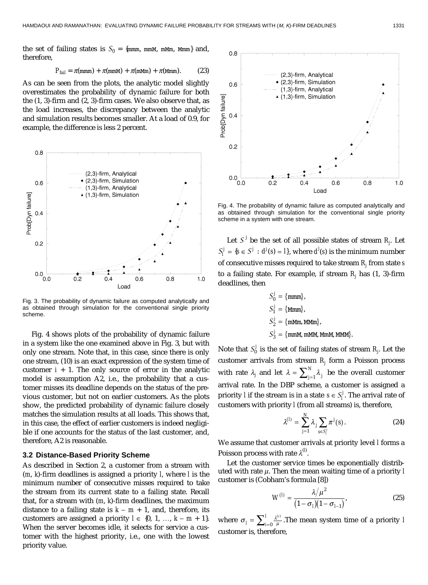the set of failing states is  $S_0 = \{mmm, mmM, mmm, Mmm\}$  and, therefore,

$$
P_{fail} = \pi(\text{mmm}) + \pi(\text{mmM}) + \pi(\text{mMm}) + \pi(\text{Mmm}). \tag{23}
$$

As can be seen from the plots, the analytic model slightly overestimates the probability of dynamic failure for both the (1, 3)-firm and (2, 3)-firm cases. We also observe that, as the load increases, the discrepancy between the analytic and simulation results becomes smaller. At a load of 0.9, for example, the difference is less 2 percent.



Fig. 3. The probability of dynamic failure as computed analytically and as obtained through simulation for the conventional single priority scheme.

Fig. 4 shows plots of the probability of dynamic failure in a system like the one examined above in Fig. 3, but with only one stream. Note that, in this case, since there is only one stream, (10) is an exact expression of the system time of customer  $i + 1$ . The only source of error in the analytic model is assumption A2, i.e., the probability that a customer misses its deadline depends on the status of the previous customer, but not on earlier customers. As the plots show, the predicted probability of dynamic failure closely matches the simulation results at all loads. This shows that, in this case, the effect of earlier customers is indeed negligible if one accounts for the status of the last customer, and, therefore, A2 is reasonable.

## **3.2 Distance-Based Priority Scheme**

As described in Section 2, a customer from a stream with (*m*, *k*)-firm deadlines is assigned a priority *l*, where *l* is the minimum number of consecutive misses required to take the stream from its current state to a failing state. Recall that, for a stream with (*m*, *k*)-firm deadlines, the maximum distance to a failing state is  $k - m + 1$ , and, therefore, its customers are assigned a priority  $l \in \{0, 1, ..., k - m + 1\}.$ When the server becomes idle, it selects for service a customer with the highest priority, i.e., one with the lowest priority value.



Fig. 4. The probability of dynamic failure as computed analytically and as obtained through simulation for the conventional single priority scheme in a system with one stream.

Let  $S^{\,j}$  be the set of all possible states of stream  $R_{j\cdot}$  Let  $S_l^j = \{ s \in S^j : d^j(s) = l \}$ , where  $d^j(s)$  is the minimum number of consecutive misses required to take stream *Rj* from state *s* to a failing state. For example, if stream *Rj* has (1, 3)-firm deadlines, then

$$
S_0^j = \{\text{mmm}\},
$$
  
\n
$$
S_1^j = \{\text{Mmm}\},
$$
  
\n
$$
S_2^j = \{\text{mMm, MMm}\},
$$
  
\n
$$
S_3^j = \{\text{mmM, mMM, Mmm}\},
$$

Note that  $S_0^j$  is the set of failing states of stream  $R_j$ . Let the customer arrivals from stream *Rj* form a Poisson process with rate  $\lambda_j$  and let  $\lambda = \sum_{j=1}^N \lambda_j$  be the overall customer arrival rate. In the DBP scheme, a customer is assigned a priority *l* if the stream is in a state  $s \in S_l^j$ . The arrival rate of customers with priority *l* (from all streams) is, therefore,

$$
\lambda^{(I)} = \sum_{j=1}^{N} \lambda_j \sum_{s \in S_i^I} \pi^j(s).
$$
 (24)

We assume that customer arrivals at priority level *l* forms a Poisson process with rate  $\lambda^{(l)}$ .

Let the customer service times be exponentially distributed with rate *m*. Then the mean waiting time of a priority *l* customer is (Cobham's formula [8])

$$
W^{(I)} = \frac{\lambda/\mu^2}{(1 - \sigma_I)(1 - \sigma_{I-1})},
$$
\n(25)

where  $\sigma_l = \sum_{i=0}^{l} \frac{\lambda^{0i}}{\mu}$  $=\sum_{i=0}^{I}\frac{\lambda^{(i)}}{\mu}.$  The mean system time of a priority *l* customer is, therefore,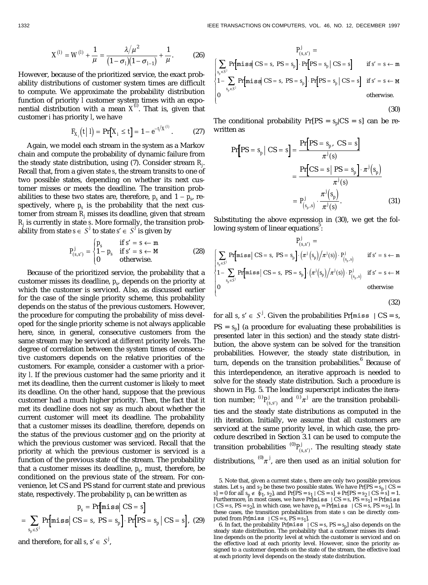$$
X^{(I)} = W^{(I)} + \frac{1}{\mu} = \frac{\lambda/\mu^2}{(1 - \sigma_I)(1 - \sigma_{I-1})} + \frac{1}{\mu}.
$$
 (26)

However, because of the prioritized service, the exact probability distributions of customer system times are difficult to compute. We approximate the probability distribution function of priority *l* customer system times with an exponential distribution with a mean *X*(*l*) . That is, given that customer *i* has priority *l*, we have

$$
F_{X_i}(t | l) = \Pr[X_i \le t] = 1 - e^{-t/X^{(i)}}.
$$
 (27)

Again, we model each stream in the system as a Markov chain and compute the probability of dynamic failure from the steady state distribution, using (7). Consider stream *Rj* . Recall that, from a given state *s*, the stream transits to one of two possible states, depending on whether its next customer misses or meets the deadline. The transition probabilities to these two states are, therefore,  $p_s$  and  $1 - p_s$ , respectively, where  $p_s$  is the probability that the next customer from stream  $R_j$  misses its deadline, given that stream *Rj* is currently in state *s*. More formally, the transition probability from state  $s \in S^j$  to state  $s' \in S^j$  is given by

$$
P_{(s,s')}^j = \begin{cases} p_s & \text{if } s' = s \leftarrow m \\ 1 - p_s & \text{if } s' = s \leftarrow M \\ 0 & \text{otherwise.} \end{cases}
$$
 (28)

Because of the prioritized service, the probability that a customer misses its deadline, *ps*, depends on the priority at which the customer is serviced. Also, as discussed earlier for the case of the single priority scheme, this probability depends on the status of the previous customers. However, the procedure for computing the probability of miss developed for the single priority scheme is not always applicable here, since, in general, consecutive customers from the same stream may be serviced at *different* priority levels. The degree of correlation between the system times of consecutive customers depends on the relative priorities of the customers. For example, consider a customer with a priority *l*. If the previous customer had the same priority and it met its deadline, then the current customer is likely to meet its deadline. On the other hand, suppose that the previous customer had a much higher priority. Then, the fact that it met its deadline does not say as much about whether the current customer will meet its deadline. The probability that a customer misses its deadline, therefore, depends on the status of the previous customer and on the priority at which the previous customer was serviced. Recall that the priority at which the previous customer is serviced is a function of the previous state of the stream. The probability that a customer misses its deadline,  $p_s$ , must, therefore, be conditioned on the previous state of the stream. For convenience, let CS and PS stand for current state and previous state, respectively. The probability  $p_s$  can be written as

$$
p_s = \Pr[\text{miss} | \text{CS} = s]
$$

$$
= \sum_{s_p \in S^j} \Pr[\text{miss} | \text{CS} = s, \text{PS} = s_p] \cdot \Pr[\text{PS} = s_p | \text{CS} = s], \text{ (29)}
$$

and therefore, for all  $s, s' \in S^j$ ,

$$
P_{(s,s')}^j =
$$
\n
$$
\left[\sum_{s_p \in S^j} \Pr[\text{miss} \mid CS = s, PS = s_p] \cdot \Pr[PS = s_p \mid CS = s] \quad \text{if } s' = s \leftarrow m
$$
\n
$$
1 - \sum_{s_p \in S^j} \Pr[\text{miss} \mid CS = s, PS = s_p] \cdot \Pr[PS = s_p \mid CS = s] \quad \text{if } s' = s \leftarrow m
$$
\n
$$
0 \quad \text{otherwise.}
$$

The conditional probability  $Pr[PS = s_p| CS = s]$  can be rewritten as

$$
\Pr[PS = s_p | CS = s] = \frac{\Pr[PS = s_p, CS = s]}{\pi^j(s)}
$$

$$
= \frac{\Pr[CS = s | PS = s_p] \cdot \pi^j(s)}{\pi^j(s)}
$$

$$
= P^j_{(s_p, s)} \cdot \frac{\pi^j(s_p)}{\pi^j(s)}.
$$
(31)

Substituting the above expression in (30), we get the following system of linear equations<sup>5</sup>:

$$
P_{(s,s')}^j =
$$
\n
$$
\left\{ \sum_{s_p \in S^j} \Pr[\text{miss} | \text{CS} = s, \text{PS} = s_p] \cdot (\pi^j (s_p) / \pi^j (s)) \cdot P_{(s_p, s]}^j \quad \text{if } s' = s \leftarrow m
$$
\n
$$
1 - \sum_{s_p \in S^j} \Pr[\text{miss} | \text{CS} = s, \text{PS} = s_p] \cdot (\pi^j (s_p) / \pi^j (s)) \cdot P_{(s_p, s]}^j \quad \text{if } s' = s \leftarrow m
$$
\notherwise\notherwise

(32)

(30)

for all *s*,  $s' \in S^j$ . Given the probabilities Pr[miss | CS = *s*,  $PS = s_n$  (a procedure for evaluating these probabilities is presented later in this section) and the steady state distribution, the above system can be solved for the transition probabilities. However, the steady state distribution, in turn, depends on the transition probabilities.<sup>6</sup> Because of this interdependence, an iterative approach is needed to solve for the steady state distribution. Such a procedure is shown in Fig. 5. The leading superscript indicates the iteration number;  ${}^{(i)}P^j_{(s,\varepsilon)}$ *i*  $P^j_{(s,s')}$  and <sup>(*i*)</sup> $\pi^j$  are the transition probabilities and the steady state distributions as computed in the *i*th iteration. Initially, we assume that all customers are serviced at the same priority level, in which case, the procedure described in Section 3.1 can be used to compute the transition probabilities  ${}^{(0)}P^j_{(s,s')}$ . The resulting steady state distributions,  ${}^{(0)}\pi^j$ , are then used as an initial solution for

<sup>5.</sup> Note that, given a current state *s*, there are only two possible previous states. Let  $s_1$  and  $s_2$  be these two possible states. We have  $Pr[PS = s_p | CS = s_p]$  $s$ ] = 0 for all  $s_p \notin \{s_1, s_2\}$ , and  $Pr[PS = s_1 | CS = s] + Pr[PS = s_2 | CS = s] = 1$ .<br>Furthermore, in most cases, we have  $Pr[miss | CS = s, PS = s_1] = Pr[miss]$  $| CS = s$ ,  $PS = s_2$ , in which case, we have  $p_s = Pr[miss | CS = s, PS = s_1]$ . In these cases, the transition probabilities from state *s* can be directly computed from Pr[miss  $| CS = s$ , PS =  $s_1$ ].

<sup>6.</sup> In fact, the probability  $Pr[\text{miss}^{\sim}]$   $CS = s$ ,  $PS = s_p$ ] also depends on the steady state distribution. The probability that a customer misses its deadline depends on the priority level at which the customer is serviced and on the effective load at each priority level. However, since the priority assigned to a customer depends on the state of the stream, the effective load at each priority level depends on the steady state distribution.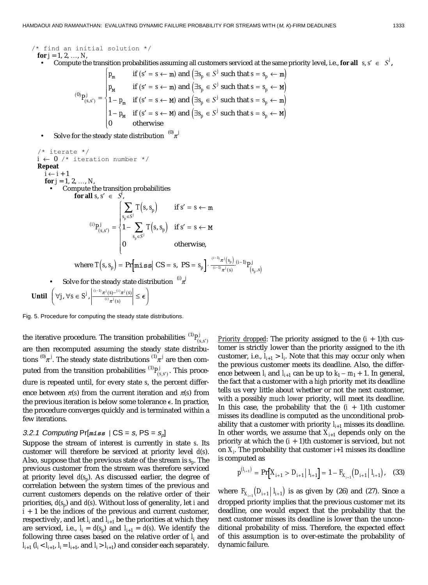/\* find an initial solution  $*/$ **for**  $j = 1, 2, ..., N$ ,

• Compute the transition probabilities assuming all customers serviced at the same priority level, i.e., **for all**  $s, s' \in S^j$ ,<br>  $\left[ p_m \text{ if } (s' = s \leftarrow m) \text{ and } (\exists s_n \in S^j \text{ such that } s = s_n \leftarrow m) \right]$ 

$$
p_m
$$
 if  $(s' = s \leftarrow m)$  and  $(\exists s_p \in S^j$  such that  $s = s_p \leftarrow m$ )  
\n
$$
p_M
$$
 if  $(s' = s \leftarrow m)$  and  $(\exists s_p \in S^j$  such that  $s = s_p \leftarrow m$ )  
\n
$$
1 - p_m
$$
 if  $(s' = s \leftarrow m)$  and  $(\exists s_p \in S^j$  such that  $s = s_p \leftarrow m$ )  
\n
$$
1 - p_m
$$
 if  $(s' = s \leftarrow m)$  and  $(\exists s_p \in S^j$  such that  $s = s_p \leftarrow m$ )  
\n
$$
0
$$
 otherwise

• Solve for the steady state distribution  $^{(0)}$   $\pi^j$ 

$$
\begin{array}{ll}\n\begin{aligned}\n\text{/*} & \text{iterate} & \text{/*} \\
\text{I} &\leftarrow 0 \text{ /* iteration number} & \text{/*} \\
\text{Repeat} \\
\text{i} &\leftarrow \text{i} + 1 \\
\text{for } j = 1, 2, \dots, N, \\
\text{•} & \text{Compute the transition probabilities} \\
\text{for all } s, s' \in S, \\
\text{if } s' = s \leftarrow m\n\end{aligned}\n\end{array}
$$
\n
$$
\begin{aligned}\n\text{(i)} & P_{(s, s')}^j = \n\begin{cases}\n\sum_{s_p \in S^j} T(s, s_p) & \text{if } s' = s \leftarrow m \\
1 - \sum_{s_p \in S^j} T(s, s_p) & \text{if } s' = s \leftarrow M \\
0 & \text{otherwise,} \\
0 & \text{otherwise,}\n\end{cases}\n\end{aligned}
$$
\n
$$
\text{where } T(s, s_p) = \Pr[\text{miss} | \text{CS} = s, \text{PS} = s_p] \cdot \frac{\binom{i-1}{j} \pi^j(s_p)}{\binom{i-1}{j} \pi^j(s)} \binom{i-1}{s_p, s} \\
\text{•} & \text{Solve for the steady state distribution} \quad \binom{i}{j}\n\end{aligned}
$$
\n
$$
\text{Until } \begin{pmatrix} \forall j, \forall s \in S^j, \left| \frac{\binom{i-1}{j} \pi^j(s) - \binom{i}{j} \pi^j(s)}{\binom{i}{j} \pi^j(s)} \right| \leq \epsilon \\
\end{pmatrix}
$$

Fig. 5. Procedure for computing the steady state distributions.

the iterative procedure. The transition probabilities  ${}^{(1)}P^j_{(s,s')}$ are then recomputed assuming the steady state distributions  $^{(0)}\pi^j$ . The steady state distributions  $^{(1)}\pi^j$  are then computed from the transition probabilities  ${}^{(1)}P^j_{(s,s')}$ . This procedure is repeated until, for every state *s*, the percent difference between  $\pi(s)$  from the current iteration and  $\pi(s)$  from the previous iteration is below some tolerance  $\epsilon$ . In practice, the procedure converges quickly and is terminated within a few iterations.

## 3.2.1 Computing  $Pr[miss | CS = s, PS = s_0]$

Suppose the stream of interest is currently in state *s*. Its customer will therefore be serviced at priority level *d*(*s*). Also, suppose that the previous state of the stream is  $s_p$ . The previous customer from the stream was therefore serviced at priority level  $d(s_n)$ . As discussed earlier, the degree of correlation between the system times of the previous and current customers depends on the relative order of their priorities, *d*(*sp*) and *d*(*s*). Without loss of generality, let *i* and  $i + 1$  be the indices of the previous and current customer, respectively, and let  $l_i$  and  $l_{i+1}$  be the priorities at which they are serviced, i.e.,  $I_i = d(s_i)$  and  $I_{i+1} = d(s)$ . We identify the following three cases based on the relative order of  $l_i$  and  $l_{i+1}$  ( $l_i < l_{i+1}$ ,  $l_i = l_{i+1}$ , and  $l_i > l_{i+1}$ ) and consider each separately.

*Priority dropped*: The priority assigned to the  $(i + 1)$ th customer is strictly lower than the priority assigned to the *i*th customer, i.e.,  $l_{i+1} > l_i$ . Note that this may occur only when the previous customer meets its deadline. Also, the difference between  $l_i$  and  $l_{i+1}$  can be up to  $k_1 - m_1 + 1$ . In general, the fact that a customer with a *high* priority met its deadline tells us very little about whether or not the next customer, with a possibly *much lower* priority, will meet its deadline. In this case, the probability that the  $(i + 1)$ th customer misses its deadline is computed as the unconditional probability that a customer with priority  $l_{i+1}$  misses its deadline. In other words, we assume that  $X_{i+1}$  depends only on the priority at which the  $(i + 1)$ th customer is serviced, but not on  $X_i$ . The probability that customer  $i$ +1 misses its deadline is computed as

$$
p^{(l_{i+1})} = \Pr[X_{i+1} > D_{i+1} \mid l_{i+1}] = 1 - F_{X_{i+1}}(D_{i+1} \mid l_{i+1}), \quad (33)
$$

where  $F_{X_{i,j}}(D_{i+1} | I_{i+1})$  is as given by (26) and (27). Since a dropped priority implies that the previous customer *met* its deadline, one would expect that the probability that the next customer misses its deadline is lower than the unconditional probability of miss. Therefore, the expected effect of this assumption is to over-estimate the probability of dynamic failure.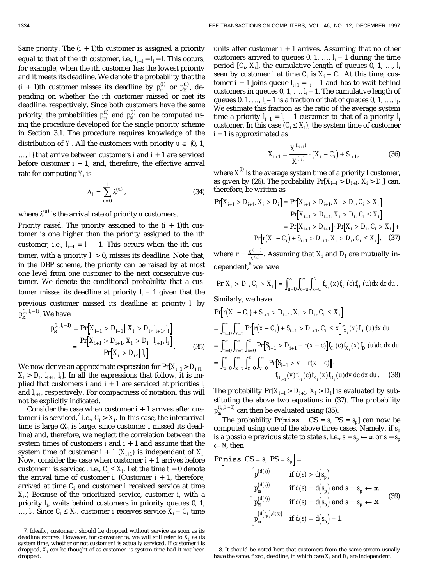*Same priority:* The  $(i + 1)$ th customer is assigned a priority equal to that of the *i*th customer, i.e.,  $I_{i+1} = I_i = I$ . This occurs, for example, when the *i*th customer has the lowest priority and it meets its deadline. We denote the probability that the  $(i + 1)$ th customer misses its deadline by  $p_{\text{m}}^{(l)}$  or  $p_{\text{M}}^{(l)}$ , depending on whether the *i*th customer missed or met its deadline, respectively. Since both customers have the same priority, the probabilities  $p_{\text{m}}^{(l)}$  and  $p_{\text{M}}^{(l)}$  can be computed using the procedure developed for the single priority scheme in Section 3.1. The procedure requires knowledge of the distribution of  $Y_i$ . All the customers with priority  $u \in \{0, 1, \ldots\}$ 

...,  $I$ } that arrive between customers *i* and  $i + 1$  are serviced before customer  $i + 1$ , and, therefore, the effective arrival rate for computing *Yi* is

$$
\Lambda_I = \sum_{u=0}^I \lambda^{(u)},\tag{34}
$$

where  $\lambda^{(u)}$  is the arrival rate of priority *u* customers.

*Priority raised:* The priority assigned to the  $(i + 1)$ th customer is one higher than the priority assigned to the *i*th customer, i.e.,  $l_{i+1} = l_i - 1$ . This occurs when the *i*th customer, with a priority  $l_i > 0$ , misses its deadline. Note that, in the DBP scheme, the priority can be raised by at most one level from one customer to the next consecutive customer. We denote the conditional probability that a customer misses its deadline at priority  $l_i - 1$  given that the previous customer missed its deadline at priority *li* by  $p_{{\tt M}}^{(l_i, l_i-1)}.$  We have

$$
p_{\text{M}}^{(l_i, l_i - 1)} = \Pr[X_{i+1} > D_{i+1} \mid X_i > D_i, l_{i+1}, l_i] \\
= \frac{\Pr[X_{i+1} > D_{i+1}, X_i > D_i \mid l_{i+1}, l_i]}{\Pr[X_i > D_i \mid l_i]}.\n\tag{35}
$$

We now derive an approximate expression for  $Pr[X_{i+1} > D_{i+1}]$  $X_i > D_i$ ,  $I_{i+1}$ ,  $I_i$ . In all the expressions that follow, it is implied that customers *i* and  $i + 1$  are serviced at priorities  $l_i$ and  $I_{i+1}$ , respectively. For compactness of notation, this will not be explicitly indicated.

Consider the case when customer  $i + 1$  arrives after customer *i* is serviced,  $^7$  i.e.,  $C_i > X_i$ . In this case, the interarrival time is large  $(X_i$  is large, since customer  $i$  missed its deadline) and, therefore, we neglect the correlation between the system times of customers *i* and *i* + 1 and assume that the system time of customer  $i + 1$   $(X_{i+1})$  is independent of  $X_i$ . Now, consider the case when customer  $i + 1$  arrives before customer *i* is serviced, i.e.,  $C_i \leq X_i$ . Let the time  $t = 0$  denote the arrival time of customer  $i$ . (Customer  $i + 1$ , therefore, arrived at time  $C_i$  and customer  $i$  received service at time *Xi* .) Because of the prioritized service, customer *i*, with a priority *li* , waits behind customers in priority queues 0, 1, ...,  $l_i$ . Since  $C_i \leq X_i$ , customer *i* receives service  $X_i - C_i$  time

units after customer  $i + 1$  arrives. Assuming that no other customers arrived to queues 0, 1, ...,  $l_i - 1$  during the time period  $[C_i, X_i]$ , the cumulative length of queues 0, 1, ...,  $I_i$ seen by customer *i* at time  $C_i$  is  $X_i - C_i$ . At this time, customer  $i + 1$  joins queue  $l_{i+1} = l_i - 1$  and has to wait behind customers in queues 0, 1, ...,  $I_i - 1$ . The cumulative length of queues 0, 1, ...,  $l_i-1$  is a fraction of that of queues 0, 1, ...,  $l_i$ We estimate this fraction as the ratio of the average system time a priority  $l_{i+1} = l_i - 1$  customer to that of a priority  $l_i$ customer. In this case  $(C_i \leq X_i)$ , the system time of customer *i* + 1 is approximated as

$$
X_{i+1} = \frac{X^{(l_{i+1})}}{X^{(l_i)}} \cdot (X_i - C_i) + S_{i+1},
$$
 (36)

where  $\boldsymbol{X}^{\!\mathrm{(l)}}$  is the average system time of a priority  $l$  customer, as given by (26). The probability  $Pr[X_{i+1} > D_{i+1}, X_i > D_i]$  can, therefore, be written as

$$
\Pr[X_{i+1} > D_{i+1}, X_i > D_i] = \Pr[X_{i+1} > D_{i+1}, X_i > D_i, C_i > X_i] + \Pr[X_{i+1} > D_{i+1}, X_i > D_i, C_i < X_i] = \Pr[X_{i+1} > D_{i+1}] \cdot \Pr[X_i > D_i, C_i > X_i] + \Pr[r(X_i - C_i) + S_{i+1} > D_{i+1}, X_i > D_i, C_i < X_i], \quad (37)
$$

where  $r = \frac{X^0}{X}$  $= \frac{X^{(l_{i+1})}}{X^{(l_i)}}$ . Assuming that  $X_i$  and  $D_i$  are mutually independent,<sup>8</sup> we have

$$
\Pr[X_i > D_i, C_i > X_i] = \int_{u=0}^{\infty} \int_{c=u}^{\infty} \int_{x=u}^{c} f_{X_i}(x) f_{C_i}(c) f_{D_i}(u) dx dc du.
$$
  
Similarly, we have

$$
\Pr\Big[r(X_i - C_i) + S_{i+1} > D_{i+1}, X_i > D_i, C_i \le X_i\Big] \\
= \int_{u=0}^{\infty} \int_{x=u}^{\infty} \Pr\Big[r(x - C_i) + S_{i+1} > D_{i+1}, C_i \le x\Big] f_{X_i}(x) f_{D_i}(u) dx du \\
= \int_{u=0}^{\infty} \int_{x=u}^{\infty} \int_{c=0}^{x} \Pr\Big[S_{i+1} > D_{i+1} - r(x - c)\Big] f_{C_i}(c) f_{X_i}(x) f_{D_i}(u) dc dx du \\
= \int_{u=0}^{\infty} \int_{x=u}^{\infty} \int_{c=0}^{\infty} \int_{v=0}^{\infty} \Pr\Big[S_{i+1} > v - r(x - c)\Big] \cdot f_{D_{i+1}}(v) f_{C_i}(c) f_{X_i}(x) f_{D_i}(u) dv dc dx du. \tag{38}
$$

The probability  $Pr[X_{i+1} > D_{i+1}, X_i > D_i]$  is evaluated by substituting the above two equations in (37). The probability  $p_{\rm m}^{(l_i,l_i-1)}$  can then be evaluated using (35).

The probability Pr[miss  $| CS = s$ , PS =  $s_p$ ] can now be computed using one of the above three cases. Namely, if *sp* is a possible previous state to state *s*, i.e.,  $s = s_p \leftarrow m$  or  $s = s_p$  $\leftarrow$  M, then

Pr[
$$
\text{miss} | CS = s, PS = s_p
$$
] =  
\n
$$
\begin{cases}\n p^{(d(s))} & \text{if } d(s) > d(s_p) \\
 p_m^{(d(s))} & \text{if } d(s) = d(s_p) \text{ and } s = s_p \leftarrow m \\
 p_M^{(d(s))} & \text{if } d(s) = d(s_p) \text{ and } s = s_p \leftarrow M \\
 p_m^{(d(s_p), d(s))} & \text{if } d(s) = d(s_p) - 1.\n\end{cases}
$$
\n(39)

8. It should be noted here that customers from the same stream usually have the same, fixed, deadline, in which case  $X_{\boldsymbol i}$  and  $D_{\boldsymbol i}$  are independent.

<sup>7.</sup> Ideally, customer *i* should be dropped without service as soon as its deadline expires. However, for convenience, we will still refer to  $X_i$  as its system time, whether or not customer *i* is actually serviced. If customer *i* is dropped, *Xi* can be thought of as customer *i*'s system time had it not been dropped.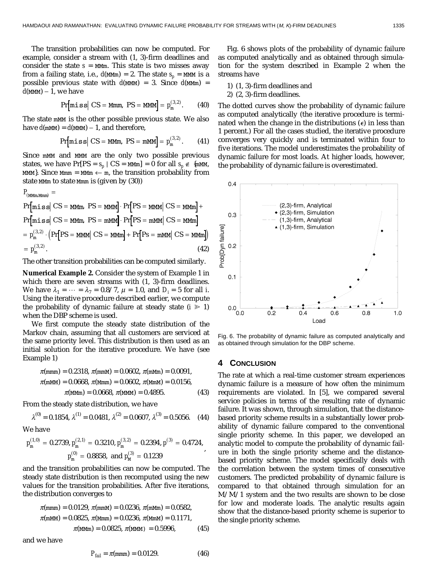The transition probabilities can now be computed. For example, consider a stream with (1, 3)-firm deadlines and consider the state  $s = M/m$ . This state is two misses away from a failing state, i.e.,  $d(MMm) = 2$ . The state  $s_n = MM$  is a possible previous state with  $d(M/M) = 3$ . Since  $d(M/m) =$  $d$ (MMM) – 1, we have

$$
\Pr[\text{miss} \mid \text{CS} = \text{Mmm}, \text{PS} = \text{MMM}] = p_{\text{m}}^{(3.2)}.
$$
 (40)

The state mMM is the other possible previous state. We also have  $d$ (mMM) =  $d$ (MMM) – 1, and therefore,

$$
Pr[\text{miss} | CS = \text{MMM}, PS = \text{mMM}] = p_{m}^{(3,2)}.
$$
 (41)

Since mMM and MMM are the only two possible previous states, we have  $Pr[PS = s_n | CS = M/m] = 0$  for all  $s_n \notin \{mMN,$ MMM}. Since Mmm = MMm  $\leftarrow$  m, the transition probability from state MMm to state Mmm is (given by (30))

$$
P_{(M\text{Mmm Mmm})} =
$$
\n
$$
Pr[miss| CS = M\text{Mmm}, PS = M\text{Mmm}] \cdot Pr[PS = M\text{Mmm} | CS = M\text{Mmm}] +
$$
\n
$$
Pr[miss| CS = M\text{Mmm}, PS = m\text{Mmm}] \cdot Pr[PS = m\text{Mmm} | CS = M\text{Mmm}]
$$
\n
$$
= p_m^{(3.2)} \cdot (Pr[PS = M\text{Mmm} | CS = M\text{Mmm}] + Pr[Ps = m\text{Mmm} | CS = M\text{Mmm}])
$$
\n
$$
= p_m^{(3.2)} \cdot (42)
$$

The other transition probabilities can be computed similarly.

**Numerical Example 2.** Consider the system of Example 1 in which there are seven streams with (1, 3)-firm deadlines. We have  $\lambda_1 = \cdots = \lambda_7 = 0.8/7$ ,  $\mu = 1.0$ , and  $D_i = 5$  for all *i*. Using the iterative procedure described earlier, we compute the probability of dynamic failure at steady state  $(i \geq 1)$ when the DBP scheme is used.

We first compute the steady state distribution of the Markov chain, assuming that all customers are serviced at the same priority level. This distribution is then used as an initial solution for the iterative procedure. We have (see Example 1)

$$
\pi(\text{mmm}) = 0.2318, \ \pi(\text{mmM}) = 0.0602, \ \pi(\text{mmM}) = 0.0091, \n\pi(\text{mmM}) = 0.0668, \ \pi(\text{Mmm}) = 0.0602, \ \pi(\text{mmM}) = 0.0156, \n\pi(\text{mmm}) = 0.0668, \ \pi(\text{mmM}) = 0.4895.
$$
\n(43)

From the steady state distribution, we have

$$
\lambda^{(0)} = 0.1854, \lambda^{(1)} = 0.0481, \lambda^{(2)} = 0.0607, \lambda^{(3)} = 0.5056.
$$
 (44)

We have

$$
p_{\rm m}^{(1,0)} = 0.2739, p_{\rm m}^{(2,1)} = 0.3210, p_{\rm m}^{(3,2)} = 0.2394, p^{(3)} = 0.4724,
$$
  

$$
p_{\rm m}^{(0)} = 0.8858, \text{ and } p_{\rm M}^{(3)} = 0.1239
$$

and the transition probabilities can now be computed. The steady state distribution is then recomputed using the new values for the transition probabilities. After five iterations, the distribution converges to

$$
\pi(\text{mmm}) = 0.0129, \ \pi(\text{mmM}) = 0.0236, \ \pi(\text{mmM}) = 0.0582,
$$
\n
$$
\pi(\text{mmM}) = 0.0825, \ \pi(\text{mmm}) = 0.0236, \ \pi(\text{mmM}) = 0.1171,
$$
\n
$$
\pi(\text{mmm}) = 0.0825, \ \pi(\text{mmM}) = 0.5996,
$$
\n(45)

and we have

$$
P_{fail} = \pi (mm) = 0.0129.
$$
 (46)

Fig. 6 shows plots of the probability of dynamic failure as computed analytically and as obtained through simulation for the system described in Example 2 when the streams have

- 1) (1, 3)-firm deadlines and
- 2) (2, 3)-firm deadlines.

The dotted curves show the probability of dynamic failure as computed analytically (the iterative procedure is terminated when the change in the distributions  $(e)$  in less than 1 percent.) For all the cases studied, the iterative procedure converges very quickly and is terminated within four to five iterations. The model underestimates the probability of dynamic failure for most loads. At higher loads, however, the probability of dynamic failure is overestimated.



Fig. 6. The probability of dynamic failure as computed analytically and as obtained through simulation for the DBP scheme.

#### **4 CONCLUSION**

The rate at which a real-time customer stream experiences dynamic failure is a measure of how often the minimum requirements are violated. In [5], we compared several service policies in terms of the resulting rate of dynamic failure. It was shown, through simulation, that the distancebased priority scheme results in a substantially lower probability of dynamic failure compared to the conventional single priority scheme. In this paper, we developed an analytic model to compute the probability of dynamic failure in both the single priority scheme and the distancebased priority scheme. The model specifically deals with the correlation between the system times of consecutive customers. The predicted probability of dynamic failure is compared to that obtained through simulation for an M/M/1 system and the two results are shown to be close for low and moderate loads. The analytic results again show that the distance-based priority scheme is superior to the single priority scheme.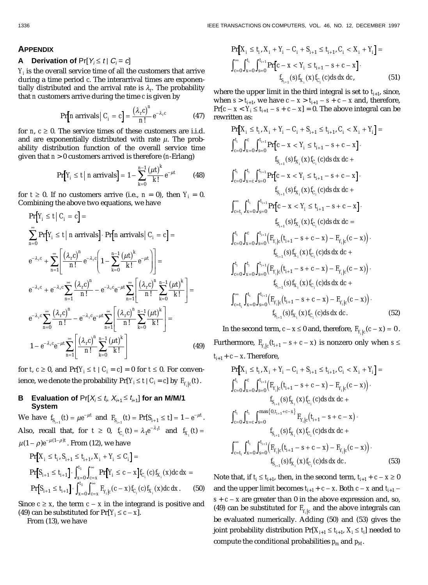#### **APPENDIX**

## **A** Derivation of  $Pr[Y_i \le t | C_i = c]$

 $Y_i$  is the overall service time of all the customers that arrive during a time period *c*. The interarrival times are exponentially distributed and the arrival rate is  $\lambda_r$ . The probability that *n* customers arrive during the time *c* is given by

$$
\Pr[n \text{ arrivals} \mid C_i = c] = \frac{(\lambda_r c)^n}{n!} e^{-\lambda_r c}
$$
 (47)

for *n*,  $c \geq 0$ . The service times of these customers are i.i.d. and are exponentially distributed with rate  $\mu$ . The probability distribution function of the overall service time given that *n* > 0 customers arrived is therefore (*n*-Erlang)

$$
\Pr[Y_i \le t \mid n \text{ arrivals}] = 1 - \sum_{k=0}^{n-1} \frac{(\mu t)^k}{k!} e^{-\mu t}
$$
 (48)

for  $t \geq 0$ . If no customers arrive (i.e.,  $n = 0$ ), then  $Y_i = 0$ . Combining the above two equations, we have

$$
\Pr[Y_i \le t \mid C_i = c] =
$$
\n
$$
\sum_{n=0}^{\infty} \Pr[Y_i \le t \mid n \text{ arrivals}] \cdot \Pr[n \text{ arrivals} \mid C_i = c] =
$$
\n
$$
e^{-\lambda_r c} + \sum_{n=1}^{\infty} \left[ \frac{(\lambda_r c)^n}{n!} e^{-\lambda_r c} \left( 1 - \sum_{k=0}^{n-1} \frac{(\mu t)^k}{k!} e^{-\mu t} \right) \right] =
$$
\n
$$
e^{-\lambda_r c} + e^{-\lambda_r c} \sum_{n=1}^{\infty} \frac{(\lambda_r c)^n}{n!} - e^{-\lambda_r c} e^{-\mu t} \sum_{n=1}^{\infty} \left[ \frac{(\lambda_r c)^n}{n!} \sum_{k=0}^{n-1} \frac{(\mu t)^k}{k!} \right] =
$$
\n
$$
e^{-\lambda_r c} \sum_{n=0}^{\infty} \frac{(\lambda_r c)^n}{n!} - e^{-\lambda_r c} e^{-\mu t} \sum_{n=1}^{\infty} \left[ \frac{(\lambda_r c)^n}{n!} \sum_{k=0}^{n-1} \frac{(\mu t)^k}{k!} \right] =
$$
\n
$$
1 - e^{-\lambda_r c} e^{-\mu t} \sum_{n=1}^{\infty} \left[ \frac{(\lambda_r c)^n}{n!} \sum_{k=0}^{n-1} \frac{(\mu t)^k}{k!} \right] \tag{49}
$$

for *t*,  $c \ge 0$ , and  $Pr[Y_i \le t \mid C_i = c] = 0$  for  $t \le 0$ . For convenience, we denote the probability  $\Pr[Y_i \leq t \mid C_i = c]$  by  $F_{Y_i|c}(t)$ .

## **B** Evaluation of  $Pr[X_i \le t_i, X_{i+1} \le t_{i+1}]$  for an M/M/1 **System**

We have  $f_{S_{i+1}}(t) = \mu e^{-\mu t}$  $I_{i+1}$  (*t*) =  $\mu e^{-\mu t}$  and  $F_{S_{i+1}}$  (*t*) =  $\Pr[S_{i+1} \le t] = 1 - e^{-\mu t}$  $\sum_{i=1}^k (t) = \Pr[S_{i+1} \le t] = 1 - e^{-\mu t}.$ Also, recall that, for  $t \geq 0$ ,  $f_{C_i}(t) = \lambda_1 e^{-\lambda_1 t}$  $f_{X_i}(t) = \lambda_1 e^{-\lambda_1 t}$  and  $f_{X_i}(t) =$  $\mu (1-\rho) e^{-\mu (1-\rho) t}$  . From (12), we have

$$
\Pr[X_i \le t_i, S_{i+1} \le t_{i+1}, X_i + Y_i \le C_i] =
$$
\n
$$
\Pr[S_{i+1} \le t_{i+1}] \cdot \int_{x=0}^{t_1} \int_{c=x}^{\infty} \Pr[Y_i \le c - x] f_{C_i}(c) f_{X_i}(x) dc dx =
$$
\n
$$
\Pr[S_{i+1} \le t_{i+1}] \cdot \int_{x=0}^{t_1} \int_{c=x}^{\infty} F_{Y_i|c}(c - x) f_{C_i}(c) f_{X_i}(x) dc dx. \tag{50}
$$

Since  $c \geq x$ , the term  $c - x$  in the integrand is positive and (49) can be substituted for  $Pr[Y_i \leq c - x]$ .

From (13), we have

$$
\Pr[X_i \le t_i, X_i + Y_i - C_i + S_{i+1} \le t_{i+1}, C_i < X_i + Y_i] =
$$
\n
$$
\int_{c=0}^{\infty} \int_{x=0}^{t_i} \int_{s=0}^{t_{i+1}} \Pr[c - x < Y_i \le t_{i+1} - s + c - x] \cdot f_{S_{i+1}}(s) f_{X_i}(x) f_{C_i}(c) ds dx dc, \tag{51}
$$

where the upper limit in the third integral is set to  $t_{i+1}$ , since, when  $s > t_{i+1}$ , we have  $c - x > t_{i+1} - s + c - x$  and, therefore,  $Pr[c - x < Y_i \le t_{i+1} - s + c - x] = 0$ . The above integral can be rewritten as:

$$
\Pr[X_{i} \leq t_{i}, X_{i} + Y_{i} - C_{i} + S_{i+1} \leq t_{i+1}, C_{i} < X_{i} + Y_{i}] =
$$
\n
$$
\int_{c=0}^{t_{i}} \int_{x=0}^{c} \int_{y=0}^{t_{i+1}} \Pr[c - x < Y_{i} \leq t_{i+1} - s + c - x] \cdot f_{S_{i+1}}(s) f_{X_{i}}(x) f_{C_{i}}(c) ds dx dc +
$$
\n
$$
\int_{c=0}^{t_{i}} \int_{x=c}^{t_{i+1}} \Pr[c - x < Y_{i} \leq t_{i+1} - s + c - x] \cdot f_{S_{i+1}}(s) f_{X_{i}}(x) f_{C_{i}}(c) ds dx dc +
$$
\n
$$
\int_{c=t_{i}}^{\infty} \int_{x=0}^{t_{i}} \int_{s=0}^{t_{i+1}} \Pr[c - x < Y_{i} \leq t_{i+1} - s + c - x] \cdot f_{S_{i+1}}(s) f_{X_{i}}(x) f_{C_{i}}(c) ds dx dc =
$$
\n
$$
\int_{c=0}^{t_{i}} \int_{x=0}^{c} \int_{y=0}^{t_{i+1}} (F_{Y_{i}|c}(t_{i+1} - s + c - x) - F_{Y_{i}|c}(c - x)) \cdot f_{S_{i-1}}(s) f_{X_{i}}(x) f_{C_{i}}(c) ds dx dc +
$$
\n
$$
\int_{c=0}^{t_{i}} \int_{x=0}^{t_{i}} \int_{y=0}^{t_{i+1}} (F_{Y_{i}|c}(t_{i+1} - s + c - x) - F_{Y_{i}|c}(c - x)) \cdot f_{S_{i+1}}(s) f_{X_{i}}(x) f_{C_{i}}(c) ds dx dc +
$$
\n
$$
\int_{c=t_{i}}^{\infty} \int_{x=0}^{t_{i}} \int_{y=0}^{t_{i+1}} (F_{Y_{i}|c}(t_{i+1} - s + c - x) - F_{Y_{i}|c}(c - x)) \cdot f_{S_{i+1}}(s) f_{X_{i}}(x) f_{C_{i}}(c) ds dx dc.
$$
\n(52)

In the second term,  $c - x \le 0$  and, therefore,  $F_{Y_j|c}(c - x) = 0$  . Furthermore,  $F_{Y_{j} | c}(t_{i+1}-s+c-x)$  is nonzero only when  $s$   $\leq$  $t_{i+1}$  +  $c$  –  $x$ . Therefore,

$$
\Pr[X_i \le t_i, X_i + Y_i - C_i + S_{i+1} \le t_{i+1}, C_i < X_i + Y_i] =
$$
\n
$$
\int_{c=0}^{t_i} \int_{x=0}^{c} \int_{s=0}^{t_{i+1}} \left( F_{Y_i|c}(t_{i+1} - s + c - x) - F_{Y_i|c}(c - x) \right) \cdot f_{S_{i+1}}(s) f_{X_i}(x) f_{C_i}(c) ds dx dc +
$$
\n
$$
\int_{c=0}^{t_i} \int_{x=c}^{t_i} \int_{s=0}^{\max\{0, t_{i+1} + c - x\}} F_{Y_i|c}(t_{i+1} - s + c - x) \cdot f_{S_{i+1}}(s) f_{X_i}(x) f_{C_i}(c) ds dx dc +
$$
\n
$$
\int_{c=t_i}^{\infty} \int_{x=0}^{t_i} \int_{s=0}^{t_{i+1}} \left( F_{Y_i|c}(t_{i+1} - s + c - x) - F_{Y_i|c}(c - x) \right) \cdot f_{S_{i+1}}(s) f_{X_i}(x) f_{C_i}(c) ds dx dc.
$$
\n(53)

Note that, if  $t_i \leq t_{i+1}$ , then, in the second term,  $t_{i+1} + c - x \geq 0$ and the upper limit becomes  $t_{i+1}$  +  $c$  -  $x$ . Both  $c$  -  $x$  and  $t_{i+1}$   $s + c - x$  are greater than 0 in the above expression and, so, (49) can be substituted for  $\emph{F}_{\emph{Y}_{i}\vert c}$  and the above integrals can be evaluated numerically. Adding (50) and (53) gives the joint probability distribution  $\Pr[X_{i+1} \leq t_{i+1},\,X_i \leq t_i]$  needed to compute the conditional probabilities  $p_m$  and  $p_M$ .